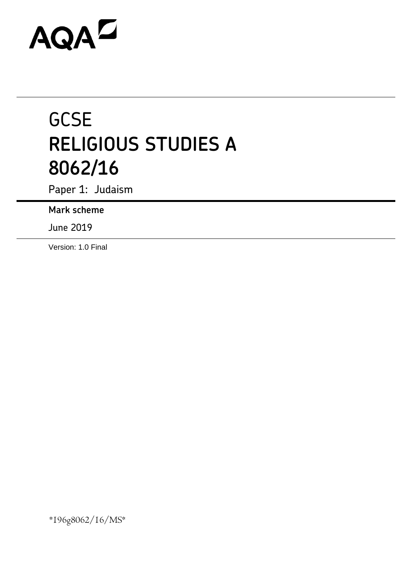# AQAZ

# **GCSE RELIGIOUS STUDIES A 8062/16**

Paper 1: Judaism

**Mark scheme**

June 2019

Version: 1.0 Final

\*196g8062/16/MS\*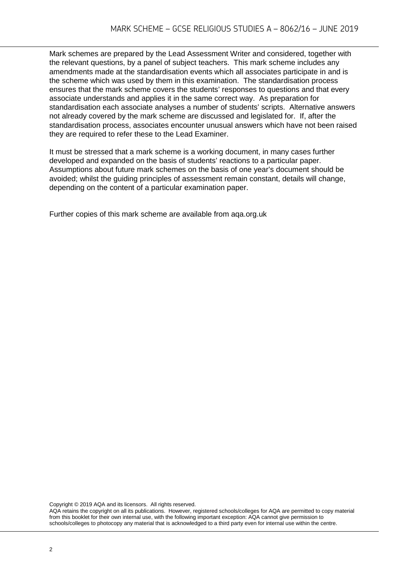Mark schemes are prepared by the Lead Assessment Writer and considered, together with the relevant questions, by a panel of subject teachers. This mark scheme includes any amendments made at the standardisation events which all associates participate in and is the scheme which was used by them in this examination. The standardisation process ensures that the mark scheme covers the students' responses to questions and that every associate understands and applies it in the same correct way. As preparation for standardisation each associate analyses a number of students' scripts. Alternative answers not already covered by the mark scheme are discussed and legislated for. If, after the standardisation process, associates encounter unusual answers which have not been raised they are required to refer these to the Lead Examiner.

It must be stressed that a mark scheme is a working document, in many cases further developed and expanded on the basis of students' reactions to a particular paper. Assumptions about future mark schemes on the basis of one year's document should be avoided; whilst the guiding principles of assessment remain constant, details will change, depending on the content of a particular examination paper.

Further copies of this mark scheme are available from aqa.org.uk

Copyright © 2019 AQA and its licensors. All rights reserved.

AQA retains the copyright on all its publications. However, registered schools/colleges for AQA are permitted to copy material from this booklet for their own internal use, with the following important exception: AQA cannot give permission to schools/colleges to photocopy any material that is acknowledged to a third party even for internal use within the centre.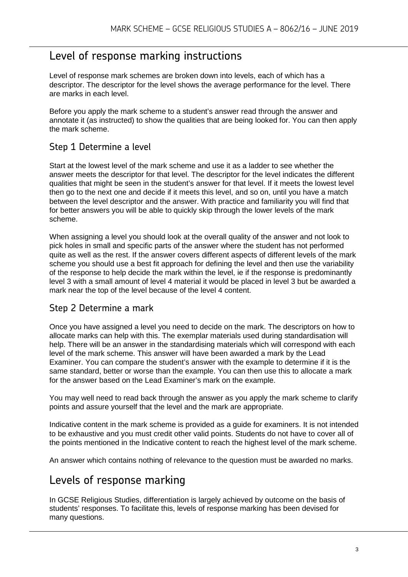# Level of response marking instructions

Level of response mark schemes are broken down into levels, each of which has a descriptor. The descriptor for the level shows the average performance for the level. There are marks in each level.

Before you apply the mark scheme to a student's answer read through the answer and annotate it (as instructed) to show the qualities that are being looked for. You can then apply the mark scheme.

### Step 1 Determine a level

Start at the lowest level of the mark scheme and use it as a ladder to see whether the answer meets the descriptor for that level. The descriptor for the level indicates the different qualities that might be seen in the student's answer for that level. If it meets the lowest level then go to the next one and decide if it meets this level, and so on, until you have a match between the level descriptor and the answer. With practice and familiarity you will find that for better answers you will be able to quickly skip through the lower levels of the mark scheme.

When assigning a level you should look at the overall quality of the answer and not look to pick holes in small and specific parts of the answer where the student has not performed quite as well as the rest. If the answer covers different aspects of different levels of the mark scheme you should use a best fit approach for defining the level and then use the variability of the response to help decide the mark within the level, ie if the response is predominantly level 3 with a small amount of level 4 material it would be placed in level 3 but be awarded a mark near the top of the level because of the level 4 content.

#### Step 2 Determine a mark

Once you have assigned a level you need to decide on the mark. The descriptors on how to allocate marks can help with this. The exemplar materials used during standardisation will help. There will be an answer in the standardising materials which will correspond with each level of the mark scheme. This answer will have been awarded a mark by the Lead Examiner. You can compare the student's answer with the example to determine if it is the same standard, better or worse than the example. You can then use this to allocate a mark for the answer based on the Lead Examiner's mark on the example.

You may well need to read back through the answer as you apply the mark scheme to clarify points and assure yourself that the level and the mark are appropriate.

Indicative content in the mark scheme is provided as a guide for examiners. It is not intended to be exhaustive and you must credit other valid points. Students do not have to cover all of the points mentioned in the Indicative content to reach the highest level of the mark scheme.

An answer which contains nothing of relevance to the question must be awarded no marks.

## Levels of response marking

In GCSE Religious Studies, differentiation is largely achieved by outcome on the basis of students' responses. To facilitate this, levels of response marking has been devised for many questions.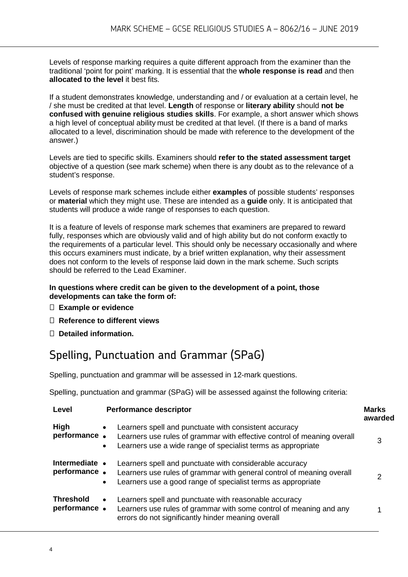Levels of response marking requires a quite different approach from the examiner than the traditional 'point for point' marking. It is essential that the **whole response is read** and then **allocated to the level** it best fits.

If a student demonstrates knowledge, understanding and / or evaluation at a certain level, he / she must be credited at that level. **Length** of response or **literary ability** should **not be confused with genuine religious studies skills**. For example, a short answer which shows a high level of conceptual ability must be credited at that level. (If there is a band of marks allocated to a level, discrimination should be made with reference to the development of the answer.)

Levels are tied to specific skills. Examiners should **refer to the stated assessment target**  objective of a question (see mark scheme) when there is any doubt as to the relevance of a student's response.

Levels of response mark schemes include either **examples** of possible students' responses or **material** which they might use. These are intended as a **guide** only. It is anticipated that students will produce a wide range of responses to each question.

It is a feature of levels of response mark schemes that examiners are prepared to reward fully, responses which are obviously valid and of high ability but do not conform exactly to the requirements of a particular level. This should only be necessary occasionally and where this occurs examiners must indicate, by a brief written explanation, why their assessment does not conform to the levels of response laid down in the mark scheme. Such scripts should be referred to the Lead Examiner.

#### **In questions where credit can be given to the development of a point, those developments can take the form of:**

- **Example or evidence**
- **Reference to different views**
- **Detailed information.**

# Spelling, Punctuation and Grammar (SPaG)

Spelling, punctuation and grammar will be assessed in 12-mark questions.

Spelling, punctuation and grammar (SPaG) will be assessed against the following criteria:

| Level                            | <b>Performance descriptor</b>                                                                                                                                                                                              | <b>Marks</b><br>awarded |
|----------------------------------|----------------------------------------------------------------------------------------------------------------------------------------------------------------------------------------------------------------------------|-------------------------|
| High<br>performance.             | Learners spell and punctuate with consistent accuracy<br>$\bullet$<br>Learners use rules of grammar with effective control of meaning overall<br>Learners use a wide range of specialist terms as appropriate<br>$\bullet$ | 3                       |
| Intermediate •<br>performance.   | Learners spell and punctuate with considerable accuracy<br>Learners use rules of grammar with general control of meaning overall<br>Learners use a good range of specialist terms as appropriate<br>$\bullet$              |                         |
| <b>Threshold</b><br>performance. | Learners spell and punctuate with reasonable accuracy<br>$\bullet$<br>Learners use rules of grammar with some control of meaning and any<br>errors do not significantly hinder meaning overall                             |                         |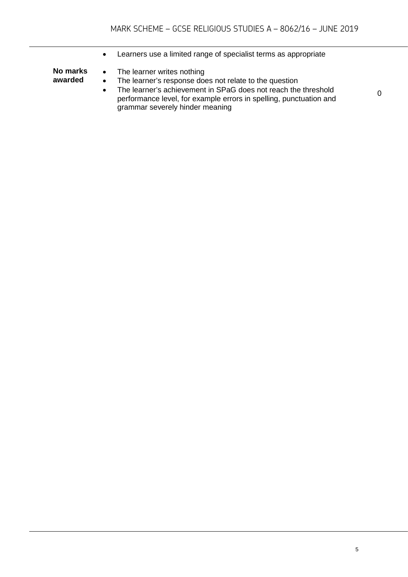• Learners use a limited range of specialist terms as appropriate **No marks awarded** • The learner writes nothing • The learner's response does not relate to the question • The learner's achievement in SPaG does not reach the threshold

0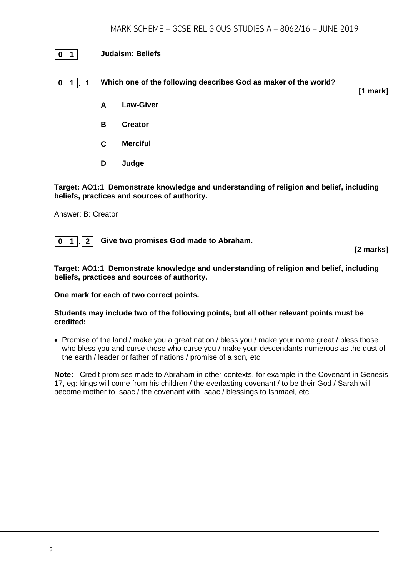#### **0 1 Judaism: Beliefs**

**0 1 . 1 Which one of the following describes God as maker of the world?**

**[1 mark]**

- **A Law-Giver**
- **B Creator**
- **C Merciful**
- **D Judge**

**Target: AO1:1 Demonstrate knowledge and understanding of religion and belief, including beliefs, practices and sources of authority.**

Answer: B: Creator

**0 1 . 2 Give two promises God made to Abraham.**

**[2 marks]**

**Target: AO1:1 Demonstrate knowledge and understanding of religion and belief, including beliefs, practices and sources of authority.**

#### **One mark for each of two correct points.**

#### **Students may include two of the following points, but all other relevant points must be credited:**

• Promise of the land / make you a great nation / bless you / make your name great / bless those who bless you and curse those who curse you / make your descendants numerous as the dust of the earth / leader or father of nations / promise of a son, etc

**Note:** Credit promises made to Abraham in other contexts, for example in the Covenant in Genesis 17, eg: kings will come from his children / the everlasting covenant / to be their God / Sarah will become mother to Isaac / the covenant with Isaac / blessings to Ishmael, etc.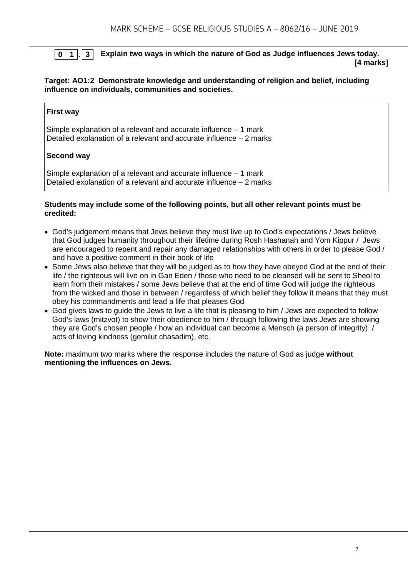#### **0 1 . 3 Explain two ways in which the nature of God as Judge influences Jews today. [4 marks]**

#### **Target: AO1:2 Demonstrate knowledge and understanding of religion and belief, including influence on individuals, communities and societies.**

#### **First way**

Simple explanation of a relevant and accurate influence – 1 mark Detailed explanation of a relevant and accurate influence – 2 marks

#### **Second way**

Simple explanation of a relevant and accurate influence – 1 mark Detailed explanation of a relevant and accurate influence – 2 marks

#### **Students may include some of the following points, but all other relevant points must be credited:**

- God's judgement means that Jews believe they must live up to God's expectations / Jews believe that God judges humanity throughout their lifetime during Rosh Hashanah and Yom Kippur / Jews are encouraged to repent and repair any damaged relationships with others in order to please God / and have a positive comment in their book of life
- Some Jews also believe that they will be judged as to how they have obeyed God at the end of their life / the righteous will live on in Gan Eden / those who need to be cleansed will be sent to Sheol to learn from their mistakes / some Jews believe that at the end of time God will judge the righteous from the wicked and those in between / regardless of which belief they follow it means that they must obey his commandments and lead a life that pleases God
- God gives laws to guide the Jews to live a life that is pleasing to him / Jews are expected to follow God's laws (mitzvot) to show their obedience to him / through following the laws Jews are showing they are God's chosen people / how an individual can become a Mensch (a person of integrity) / acts of loving kindness (gemilut chasadim), etc.

**Note:** maximum two marks where the response includes the nature of God as judge **without mentioning the influences on Jews.**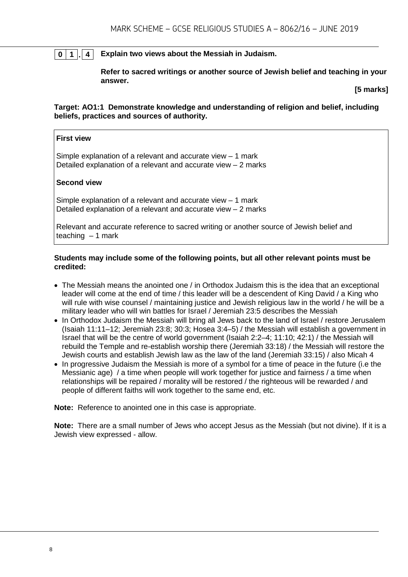#### **0 1 . 4 Explain two views about the Messiah in Judaism.**

**Refer to sacred writings or another source of Jewish belief and teaching in your answer.**

**[5 marks]**

**Target: AO1:1 Demonstrate knowledge and understanding of religion and belief, including beliefs, practices and sources of authority.**

#### **First view**

Simple explanation of a relevant and accurate view – 1 mark Detailed explanation of a relevant and accurate view – 2 marks

#### **Second view**

Simple explanation of a relevant and accurate view  $-1$  mark Detailed explanation of a relevant and accurate view – 2 marks

Relevant and accurate reference to sacred writing or another source of Jewish belief and teaching  $-1$  mark

#### **Students may include some of the following points, but all other relevant points must be credited:**

- The Messiah means the anointed one / in Orthodox Judaism this is the idea that an exceptional leader will come at the end of time / this leader will be a descendent of King David / a King who will rule with wise counsel / maintaining justice and Jewish religious law in the world / he will be a military leader who will win battles for Israel / Jeremiah 23:5 describes the Messiah
- In Orthodox Judaism the Messiah will bring all Jews back to the land of Israel / restore Jerusalem (Isaiah 11:11–12; Jeremiah 23:8; 30:3; Hosea 3:4–5) / the Messiah will establish a government in Israel that will be the centre of world government (Isaiah 2:2–4; 11:10; 42:1) / the Messiah will rebuild the Temple and re-establish worship there (Jeremiah 33:18) / the Messiah will restore the Jewish courts and establish Jewish law as the law of the land (Jeremiah 33:15) / also Micah 4
- In progressive Judaism the Messiah is more of a symbol for a time of peace in the future (i.e the Messianic age) / a time when people will work together for justice and fairness / a time when relationships will be repaired / morality will be restored / the righteous will be rewarded / and people of different faiths will work together to the same end, etc.

**Note:** Reference to anointed one in this case is appropriate.

**Note:** There are a small number of Jews who accept Jesus as the Messiah (but not divine). If it is a Jewish view expressed - allow.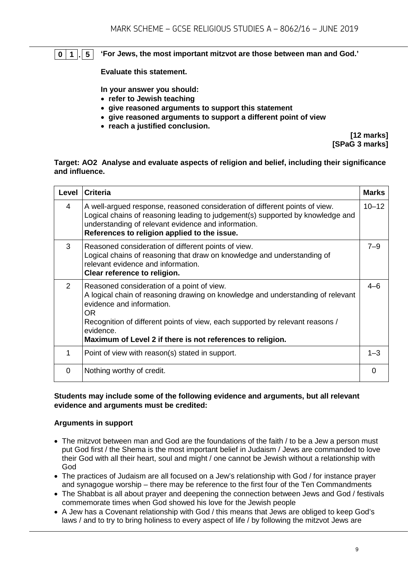#### **0 1 . 5 'For Jews, the most important mitzvot are those between man and God.'**

**Evaluate this statement.** 

**In your answer you should:**

- **refer to Jewish teaching**
- **give reasoned arguments to support this statement**
- **give reasoned arguments to support a different point of view**
- **reach a justified conclusion.**

**[12 marks] [SPaG 3 marks]**

#### **Target: AO2 Analyse and evaluate aspects of religion and belief, including their significance and influence.**

| Level         | <b>Criteria</b>                                                                                                                                                                                                                                                                                                               | <b>Marks</b> |
|---------------|-------------------------------------------------------------------------------------------------------------------------------------------------------------------------------------------------------------------------------------------------------------------------------------------------------------------------------|--------------|
| 4             | A well-argued response, reasoned consideration of different points of view.<br>Logical chains of reasoning leading to judgement(s) supported by knowledge and<br>understanding of relevant evidence and information.<br>References to religion applied to the issue.                                                          | $10 - 12$    |
| 3             | Reasoned consideration of different points of view.<br>Logical chains of reasoning that draw on knowledge and understanding of<br>relevant evidence and information.<br>Clear reference to religion.                                                                                                                          | $7 - 9$      |
| $\mathcal{P}$ | Reasoned consideration of a point of view.<br>A logical chain of reasoning drawing on knowledge and understanding of relevant<br>evidence and information.<br>OR.<br>Recognition of different points of view, each supported by relevant reasons /<br>evidence.<br>Maximum of Level 2 if there is not references to religion. | $4 - 6$      |
| 1             | Point of view with reason(s) stated in support.                                                                                                                                                                                                                                                                               | $1 - 3$      |
| $\Omega$      | Nothing worthy of credit.                                                                                                                                                                                                                                                                                                     | 0            |

#### **Students may include some of the following evidence and arguments, but all relevant evidence and arguments must be credited:**

#### **Arguments in support**

- The mitzvot between man and God are the foundations of the faith / to be a Jew a person must put God first / the Shema is the most important belief in Judaism / Jews are commanded to love their God with all their heart, soul and might / one cannot be Jewish without a relationship with God
- The practices of Judaism are all focused on a Jew's relationship with God / for instance prayer and synagogue worship – there may be reference to the first four of the Ten Commandments
- The Shabbat is all about prayer and deepening the connection between Jews and God / festivals commemorate times when God showed his love for the Jewish people
- A Jew has a Covenant relationship with God / this means that Jews are obliged to keep God's laws / and to try to bring holiness to every aspect of life / by following the mitzvot Jews are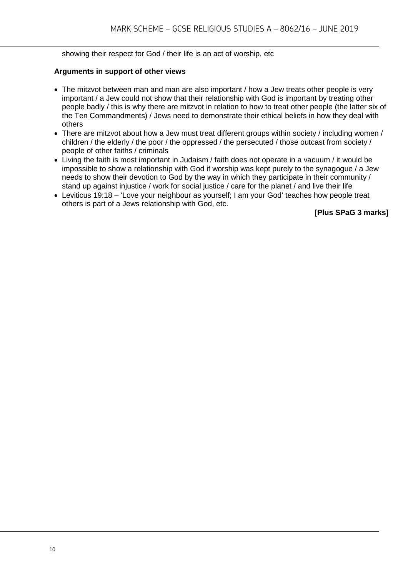showing their respect for God / their life is an act of worship, etc

#### **Arguments in support of other views**

- The mitzvot between man and man are also important / how a Jew treats other people is very important / a Jew could not show that their relationship with God is important by treating other people badly / this is why there are mitzvot in relation to how to treat other people (the latter six of the Ten Commandments) / Jews need to demonstrate their ethical beliefs in how they deal with others
- There are mitzvot about how a Jew must treat different groups within society / including women / children / the elderly / the poor / the oppressed / the persecuted / those outcast from society / people of other faiths / criminals
- Living the faith is most important in Judaism / faith does not operate in a vacuum / it would be impossible to show a relationship with God if worship was kept purely to the synagogue / a Jew needs to show their devotion to God by the way in which they participate in their community / stand up against injustice / work for social justice / care for the planet / and live their life
- Leviticus 19:18 'Love your neighbour as yourself; I am your God' teaches how people treat others is part of a Jews relationship with God, etc.

**[Plus SPaG 3 marks]**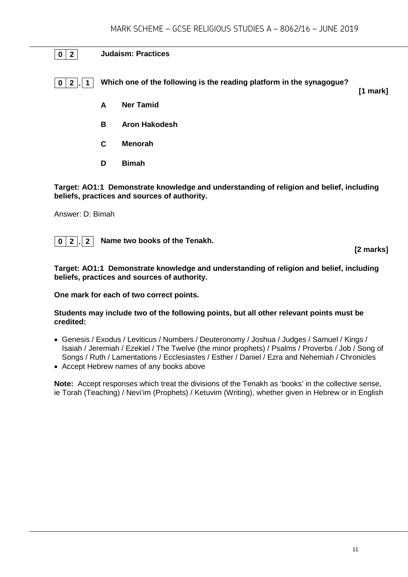#### **0 2 Judaism: Practices**

**0 2 . 1 Which one of the following is the reading platform in the synagogue?**

**[1 mark]**

- **A Ner Tamid**
- **B Aron Hakodesh**
- **C Menorah**
- **D Bimah**

**Target: AO1:1 Demonstrate knowledge and understanding of religion and belief, including beliefs, practices and sources of authority.**

Answer: D: Bimah

**0 2 . 2 Name two books of the Tenakh.**

**[2 marks]**

**Target: AO1:1 Demonstrate knowledge and understanding of religion and belief, including beliefs, practices and sources of authority.**

#### **One mark for each of two correct points.**

#### **Students may include two of the following points, but all other relevant points must be credited:**

- Genesis / Exodus / Leviticus / Numbers / Deuteronomy / Joshua / Judges / Samuel / Kings / Isaiah / Jeremiah / Ezekiel / The Twelve (the minor prophets) / Psalms / Proverbs / Job / Song of Songs / Ruth / Lamentations / Ecclesiastes / Esther / Daniel / Ezra and Nehemiah / Chronicles
- Accept Hebrew names of any books above

**Note:** Accept responses which treat the divisions of the Tenakh as 'books' in the collective sense, ie Torah (Teaching) / Nevi'im (Prophets) / Ketuvim (Writing), whether given in Hebrew or in English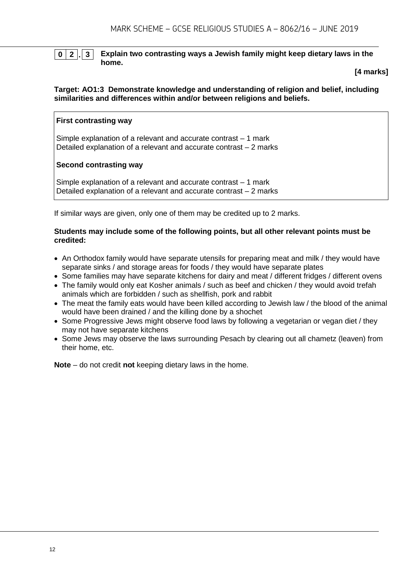#### **0 2 . 3 Explain two contrasting ways a Jewish family might keep dietary laws in the home.**

**[4 marks]**

#### **Target: AO1:3 Demonstrate knowledge and understanding of religion and belief, including similarities and differences within and/or between religions and beliefs.**

#### **First contrasting way**

Simple explanation of a relevant and accurate contrast – 1 mark Detailed explanation of a relevant and accurate contrast – 2 marks

#### **Second contrasting way**

Simple explanation of a relevant and accurate contrast – 1 mark Detailed explanation of a relevant and accurate contrast – 2 marks

If similar ways are given, only one of them may be credited up to 2 marks.

#### **Students may include some of the following points, but all other relevant points must be credited:**

- An Orthodox family would have separate utensils for preparing meat and milk / they would have separate sinks / and storage areas for foods / they would have separate plates
- Some families may have separate kitchens for dairy and meat / different fridges / different ovens
- The family would only eat Kosher animals / such as beef and chicken / they would avoid trefah animals which are forbidden / such as shellfish, pork and rabbit
- The meat the family eats would have been killed according to Jewish law / the blood of the animal would have been drained / and the killing done by a shochet
- Some Progressive Jews might observe food laws by following a vegetarian or vegan diet / they may not have separate kitchens
- Some Jews may observe the laws surrounding Pesach by clearing out all chametz (leaven) from their home, etc.

**Note** – do not credit **not** keeping dietary laws in the home.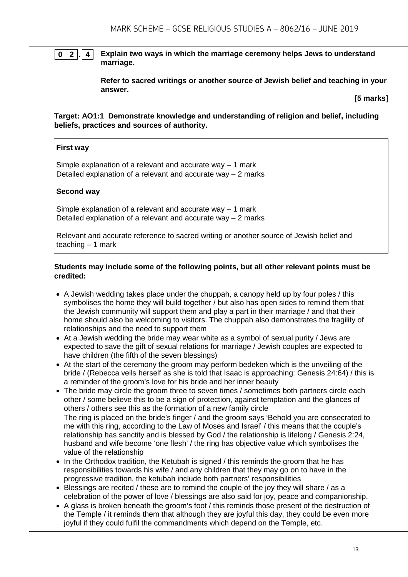#### **0 2 . 4 Explain two ways in which the marriage ceremony helps Jews to understand marriage.**

**Refer to sacred writings or another source of Jewish belief and teaching in your answer.**

**[5 marks]**

**Target: AO1:1 Demonstrate knowledge and understanding of religion and belief, including beliefs, practices and sources of authority.**

#### **First way**

Simple explanation of a relevant and accurate way – 1 mark Detailed explanation of a relevant and accurate way – 2 marks

#### **Second way**

Simple explanation of a relevant and accurate way – 1 mark Detailed explanation of a relevant and accurate way – 2 marks

Relevant and accurate reference to sacred writing or another source of Jewish belief and teaching – 1 mark

#### **Students may include some of the following points, but all other relevant points must be credited:**

- A Jewish wedding takes place under the chuppah, a canopy held up by four poles / this symbolises the home they will build together / but also has open sides to remind them that the Jewish community will support them and play a part in their marriage / and that their home should also be welcoming to visitors. The chuppah also demonstrates the fragility of relationships and the need to support them
- At a Jewish wedding the bride may wear white as a symbol of sexual purity / Jews are expected to save the gift of sexual relations for marriage / Jewish couples are expected to have children (the fifth of the seven blessings)
- At the start of the ceremony the groom may perform bedeken which is the unveiling of the bride / (Rebecca veils herself as she is told that Isaac is approaching: Genesis 24:64) / this is a reminder of the groom's love for his bride and her inner beauty
- The bride may circle the groom three to seven times / sometimes both partners circle each other / some believe this to be a sign of protection, against temptation and the glances of others / others see this as the formation of a new family circle The ring is placed on the bride's finger / and the groom says 'Behold you are consecrated to me with this ring, according to the Law of Moses and Israel' / this means that the couple's relationship has sanctity and is blessed by God / the relationship is lifelong / Genesis 2:24, husband and wife become 'one flesh' / the ring has objective value which symbolises the value of the relationship
- In the Orthodox tradition, the Ketubah is signed / this reminds the groom that he has responsibilities towards his wife / and any children that they may go on to have in the progressive tradition, the ketubah include both partners' responsibilities
- Blessings are recited / these are to remind the couple of the joy they will share / as a celebration of the power of love / blessings are also said for joy, peace and companionship.
- A glass is broken beneath the groom's foot / this reminds those present of the destruction of the Temple / it reminds them that although they are joyful this day, they could be even more joyful if they could fulfil the commandments which depend on the Temple, etc.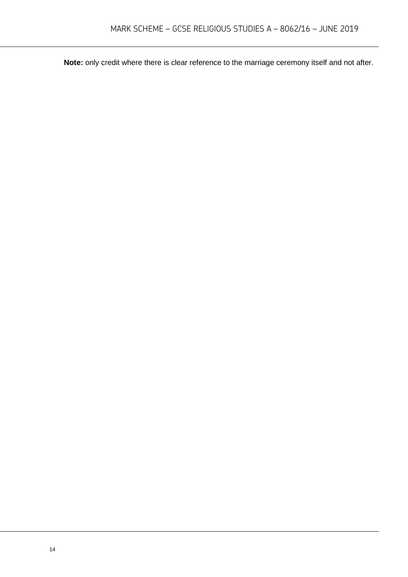**Note:** only credit where there is clear reference to the marriage ceremony itself and not after.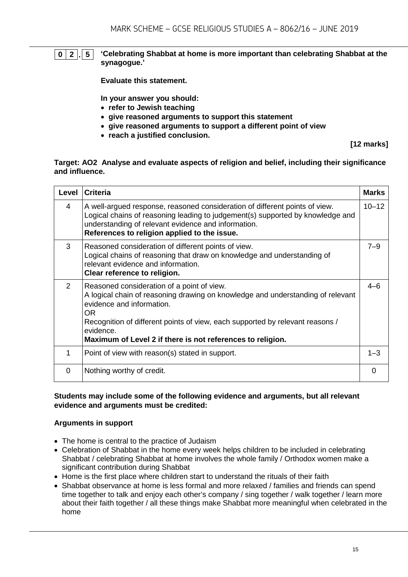#### **0 2 . 5 'Celebrating Shabbat at home is more important than celebrating Shabbat at the synagogue.'**

**Evaluate this statement.** 

**In your answer you should:**

- **refer to Jewish teaching**
- **give reasoned arguments to support this statement**
- **give reasoned arguments to support a different point of view**
- **reach a justified conclusion.**

**[12 marks]**

#### **Target: AO2 Analyse and evaluate aspects of religion and belief, including their significance and influence.**

| Level         | <b>Criteria</b>                                                                                                                                                                                                                                                                                                               | <b>Marks</b> |
|---------------|-------------------------------------------------------------------------------------------------------------------------------------------------------------------------------------------------------------------------------------------------------------------------------------------------------------------------------|--------------|
| 4             | A well-argued response, reasoned consideration of different points of view.<br>Logical chains of reasoning leading to judgement(s) supported by knowledge and<br>understanding of relevant evidence and information.<br>References to religion applied to the issue.                                                          | $10 - 12$    |
| 3             | Reasoned consideration of different points of view.<br>Logical chains of reasoning that draw on knowledge and understanding of<br>relevant evidence and information.<br>Clear reference to religion.                                                                                                                          | $7 - 9$      |
| $\mathcal{P}$ | Reasoned consideration of a point of view.<br>A logical chain of reasoning drawing on knowledge and understanding of relevant<br>evidence and information.<br>OR.<br>Recognition of different points of view, each supported by relevant reasons /<br>evidence.<br>Maximum of Level 2 if there is not references to religion. | $4 - 6$      |
| 1             | Point of view with reason(s) stated in support.                                                                                                                                                                                                                                                                               | $1 - 3$      |
| 0             | Nothing worthy of credit.                                                                                                                                                                                                                                                                                                     | ∩            |

#### **Students may include some of the following evidence and arguments, but all relevant evidence and arguments must be credited:**

#### **Arguments in support**

- The home is central to the practice of Judaism
- Celebration of Shabbat in the home every week helps children to be included in celebrating Shabbat / celebrating Shabbat at home involves the whole family / Orthodox women make a significant contribution during Shabbat
- Home is the first place where children start to understand the rituals of their faith
- Shabbat observance at home is less formal and more relaxed / families and friends can spend time together to talk and enjoy each other's company / sing together / walk together / learn more about their faith together / all these things make Shabbat more meaningful when celebrated in the home